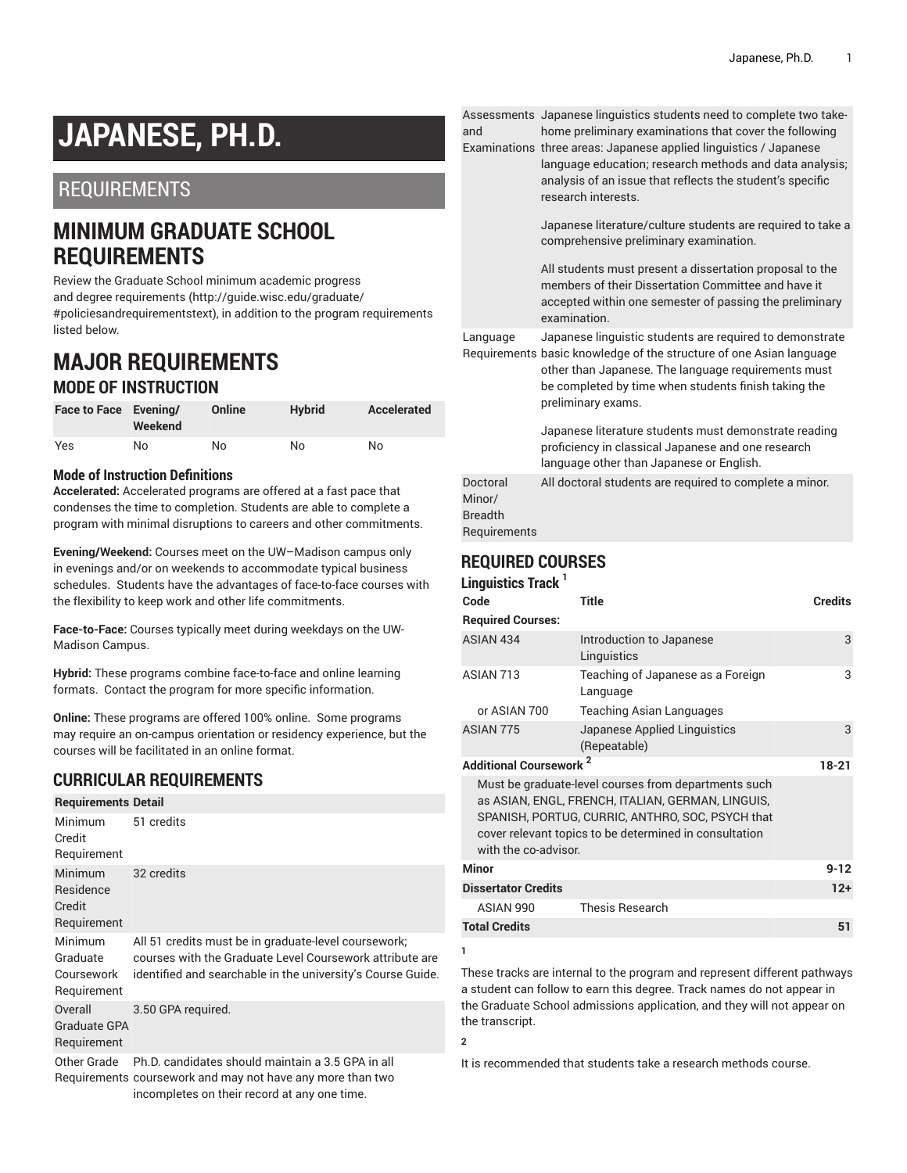# **JAPANESE, PH.D.**

## REQUIREMENTS

# **MINIMUM GRADUATE SCHOOL REQUIREMENTS**

Review the Graduate School minimum [academic](http://guide.wisc.edu/graduate/#policiesandrequirementstext) progress and degree [requirements](http://guide.wisc.edu/graduate/#policiesandrequirementstext) [\(http://guide.wisc.edu/graduate/](http://guide.wisc.edu/graduate/#policiesandrequirementstext) [#policiesandrequirementstext\)](http://guide.wisc.edu/graduate/#policiesandrequirementstext), in addition to the program requirements listed below.

## **MAJOR REQUIREMENTS MODE OF INSTRUCTION**

| Face to Face Evening/ | Weekend | Online | <b>Hybrid</b> | Accelerated |
|-----------------------|---------|--------|---------------|-------------|
| Yes                   | No      | No.    | No            | No          |

#### **Mode of Instruction Definitions**

**Accelerated:** Accelerated programs are offered at a fast pace that condenses the time to completion. Students are able to complete a program with minimal disruptions to careers and other commitments.

**Evening/Weekend:** Courses meet on the UW–Madison campus only in evenings and/or on weekends to accommodate typical business schedules. Students have the advantages of face-to-face courses with the flexibility to keep work and other life commitments.

**Face-to-Face:** Courses typically meet during weekdays on the UW-Madison Campus.

**Hybrid:** These programs combine face-to-face and online learning formats. Contact the program for more specific information.

**Online:** These programs are offered 100% online. Some programs may require an on-campus orientation or residency experience, but the courses will be facilitated in an online format.

#### **CURRICULAR REQUIREMENTS**

| <b>Requirements Detail</b>                           |                                                                                                                                                                                 |
|------------------------------------------------------|---------------------------------------------------------------------------------------------------------------------------------------------------------------------------------|
| Minimum<br>Credit<br>Requirement                     | 51 credits                                                                                                                                                                      |
| <b>Minimum</b><br>Residence<br>Credit<br>Requirement | 32 credits                                                                                                                                                                      |
| Minimum<br>Graduate<br>Coursework<br>Requirement     | All 51 credits must be in graduate-level coursework;<br>courses with the Graduate Level Coursework attribute are<br>identified and searchable in the university's Course Guide. |
| Overall<br>Graduate GPA<br>Requirement               | 3.50 GPA required.                                                                                                                                                              |
| Other Grade                                          | Ph.D. candidates should maintain a 3.5 GPA in all                                                                                                                               |

Requirements coursework and may not have any more than two incompletes on their record at any one time.

Assessments Japanese linguistics students need to complete two takeand home preliminary examinations that cover the following

Examinations three areas: Japanese applied linguistics / Japanese language education; research methods and data analysis; analysis of an issue that reflects the student's specific research interests.

> Japanese literature/culture students are required to take a comprehensive preliminary examination.

All students must present a dissertation proposal to the members of their Dissertation Committee and have it accepted within one semester of passing the preliminary examination.

Language Japanese linguistic students are required to demonstrate

Requirements basic knowledge of the structure of one Asian language other than Japanese. The language requirements must be completed by time when students finish taking the preliminary exams.

Japanese literature students must demonstrate reading proficiency in classical Japanese and one research language other than Japanese or English. Doctoral Minor/ Breadth Requirements All doctoral students are required to complete a minor.

### **REQUIRED COURSES**

| Linguistics Track <sup>1</sup>           |                                                                                                                                                                                                                         |                |
|------------------------------------------|-------------------------------------------------------------------------------------------------------------------------------------------------------------------------------------------------------------------------|----------------|
| Code                                     | Title                                                                                                                                                                                                                   | <b>Credits</b> |
| <b>Required Courses:</b>                 |                                                                                                                                                                                                                         |                |
| ASIAN 434                                | Introduction to Japanese<br>Linguistics                                                                                                                                                                                 | 3              |
| ASIAN 713                                | Teaching of Japanese as a Foreign<br>Language                                                                                                                                                                           | 3              |
| or ASIAN 700                             | Teaching Asian Languages                                                                                                                                                                                                |                |
| ASIAN 775                                | Japanese Applied Linguistics<br>(Repeatable)                                                                                                                                                                            | 3              |
| <b>Additional Coursework<sup>2</sup></b> |                                                                                                                                                                                                                         | $18-21$        |
| with the co-advisor.                     | Must be graduate-level courses from departments such<br>as ASIAN, ENGL, FRENCH, ITALIAN, GERMAN, LINGUIS,<br>SPANISH, PORTUG, CURRIC, ANTHRO, SOC, PSYCH that<br>cover relevant topics to be determined in consultation |                |
| <b>Minor</b>                             |                                                                                                                                                                                                                         | $9 - 12$       |
| <b>Dissertator Credits</b>               |                                                                                                                                                                                                                         | $12+$          |
| ASIAN 990                                | <b>Thesis Research</b>                                                                                                                                                                                                  |                |
| <b>Total Credits</b>                     |                                                                                                                                                                                                                         | 51             |
| 1                                        |                                                                                                                                                                                                                         |                |

These tracks are internal to the program and represent different pathways a student can follow to earn this degree. Track names do not appear in the Graduate School admissions application, and they will not appear on the transcript.

**2**

It is recommended that students take a research methods course.